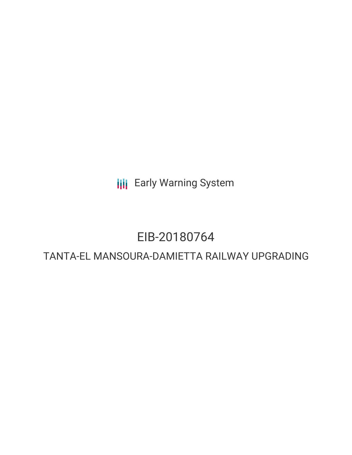**III** Early Warning System

## EIB-20180764

## TANTA-EL MANSOURA-DAMIETTA RAILWAY UPGRADING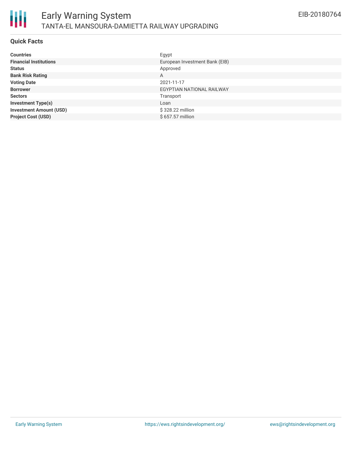

#### **Quick Facts**

| <b>Countries</b>               | Egypt                          |
|--------------------------------|--------------------------------|
| <b>Financial Institutions</b>  | European Investment Bank (EIB) |
| <b>Status</b>                  | Approved                       |
| <b>Bank Risk Rating</b>        | A                              |
| <b>Voting Date</b>             | 2021-11-17                     |
| <b>Borrower</b>                | EGYPTIAN NATIONAL RAILWAY      |
| <b>Sectors</b>                 | Transport                      |
| <b>Investment Type(s)</b>      | Loan                           |
| <b>Investment Amount (USD)</b> | \$328.22 million               |
| <b>Project Cost (USD)</b>      | \$657.57 million               |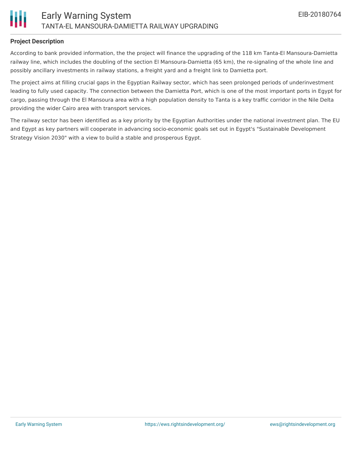

#### **Project Description**

According to bank provided information, the the project will finance the upgrading of the 118 km Tanta-El Mansoura-Damietta railway line, which includes the doubling of the section El Mansoura-Damietta (65 km), the re-signaling of the whole line and possibly ancillary investments in railway stations, a freight yard and a freight link to Damietta port.

The project aims at filling crucial gaps in the Egyptian Railway sector, which has seen prolonged periods of underinvestment leading to fully used capacity. The connection between the Damietta Port, which is one of the most important ports in Egypt for cargo, passing through the El Mansoura area with a high population density to Tanta is a key traffic corridor in the Nile Delta providing the wider Cairo area with transport services.

The railway sector has been identified as a key priority by the Egyptian Authorities under the national investment plan. The EU and Egypt as key partners will cooperate in advancing socio-economic goals set out in Egypt's "Sustainable Development Strategy Vision 2030" with a view to build a stable and prosperous Egypt.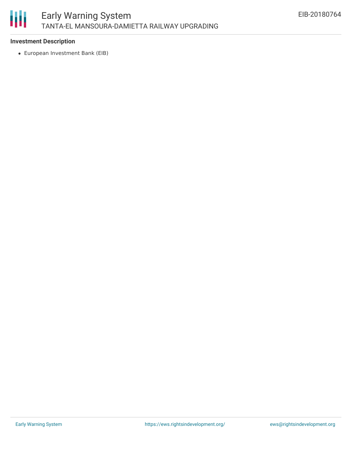

#### **Investment Description**

European Investment Bank (EIB)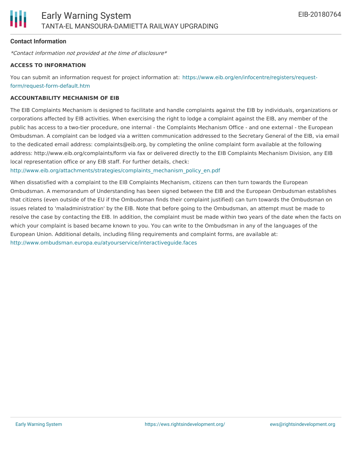#### **Contact Information**

\*Contact information not provided at the time of disclosure\*

#### **ACCESS TO INFORMATION**

You can submit an information request for project information at: [https://www.eib.org/en/infocentre/registers/request](https://www.eib.org/en/infocentre/registers/request-form/request-form-default.htm)form/request-form-default.htm

#### **ACCOUNTABILITY MECHANISM OF EIB**

The EIB Complaints Mechanism is designed to facilitate and handle complaints against the EIB by individuals, organizations or corporations affected by EIB activities. When exercising the right to lodge a complaint against the EIB, any member of the public has access to a two-tier procedure, one internal - the Complaints Mechanism Office - and one external - the European Ombudsman. A complaint can be lodged via a written communication addressed to the Secretary General of the EIB, via email to the dedicated email address: complaints@eib.org, by completing the online complaint form available at the following address: http://www.eib.org/complaints/form via fax or delivered directly to the EIB Complaints Mechanism Division, any EIB local representation office or any EIB staff. For further details, check:

[http://www.eib.org/attachments/strategies/complaints\\_mechanism\\_policy\\_en.pdf](http://www.eib.org/attachments/strategies/complaints_mechanism_policy_en.pdf)

When dissatisfied with a complaint to the EIB Complaints Mechanism, citizens can then turn towards the European Ombudsman. A memorandum of Understanding has been signed between the EIB and the European Ombudsman establishes that citizens (even outside of the EU if the Ombudsman finds their complaint justified) can turn towards the Ombudsman on issues related to 'maladministration' by the EIB. Note that before going to the Ombudsman, an attempt must be made to resolve the case by contacting the EIB. In addition, the complaint must be made within two years of the date when the facts on which your complaint is based became known to you. You can write to the Ombudsman in any of the languages of the European Union. Additional details, including filing requirements and complaint forms, are available at: <http://www.ombudsman.europa.eu/atyourservice/interactiveguide.faces>